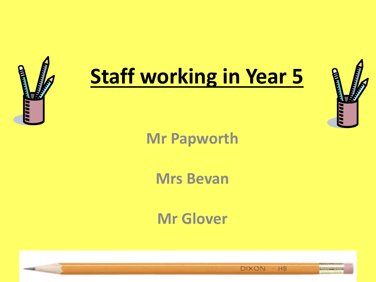

## **Staff working in Year 5**



### **Mr Papworth**

#### **Mrs Bevan**

#### **Mr Glover**

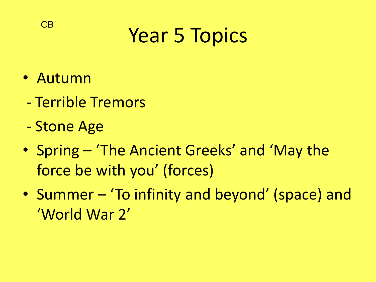## Year 5 Topics

• Autumn

CB

- Terrible Tremors
- Stone Age
- Spring 'The Ancient Greeks' and 'May the force be with you' (forces)
- Summer 'To infinity and beyond' (space) and 'World War 2'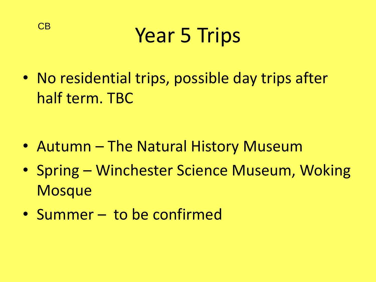

• No residential trips, possible day trips after half term. TBC

- Autumn The Natural History Museum
- Spring Winchester Science Museum, Woking **Mosque**
- Summer to be confirmed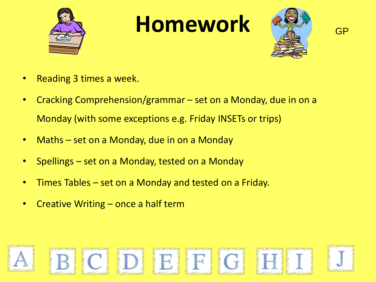

### **Homework**



GP

- Reading 3 times a week.
- Cracking Comprehension/grammar set on a Monday, due in on a Monday (with some exceptions e.g. Friday INSETs or trips)
- Maths set on a Monday, due in on a Monday
- Spellings set on a Monday, tested on a Monday
- Times Tables set on a Monday and tested on a Friday.
- Creative Writing  $-$  once a half term

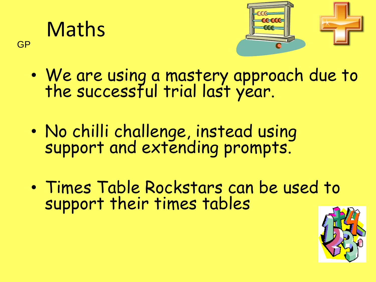**Maths** 

GP



- We are using a mastery approach due to the successful trial last year.
- No chilli challenge, instead using support and extending prompts.
- Times Table Rockstars can be used to support their times tables

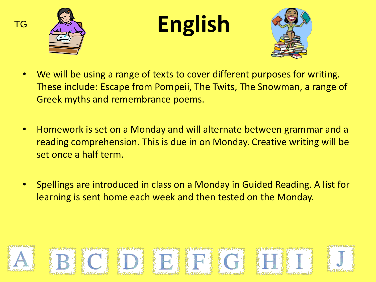



## **English**



- We will be using a range of texts to cover different purposes for writing. These include: Escape from Pompeii, The Twits, The Snowman, a range of Greek myths and remembrance poems.
- Homework is set on a Monday and will alternate between grammar and a reading comprehension. This is due in on Monday. Creative writing will be set once a half term.
- Spellings are introduced in class on a Monday in Guided Reading. A list for learning is sent home each week and then tested on the Monday.

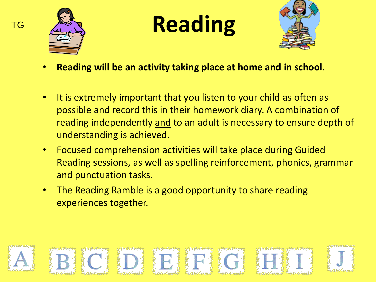

TG

**Reading**



- **Reading will be an activity taking place at home and in school**.
- It is extremely important that you listen to your child as often as possible and record this in their homework diary. A combination of reading independently and to an adult is necessary to ensure depth of understanding is achieved.
- Focused comprehension activities will take place during Guided Reading sessions, as well as spelling reinforcement, phonics, grammar and punctuation tasks.
- The Reading Ramble is a good opportunity to share reading experiences together.

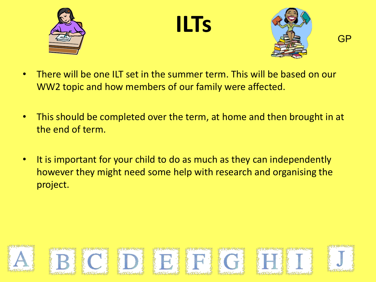

**ILTs**



**GP** 

- There will be one ILT set in the summer term. This will be based on our WW2 topic and how members of our family were affected.
- This should be completed over the term, at home and then brought in at the end of term.
- It is important for your child to do as much as they can independently however they might need some help with research and organising the project.

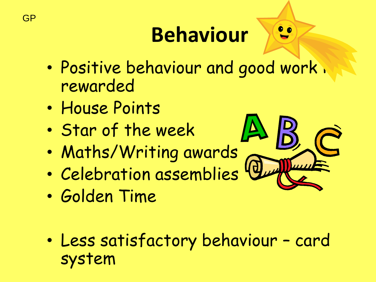## **Behaviour**

- Positive behaviour and good work. rewarded
- House Points
- Star of the week
- Maths/Writing awards
- Celebration assemblies
- Golden Time
- Less satisfactory behaviour card system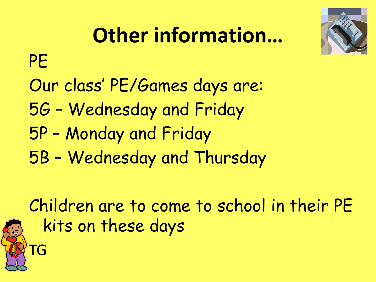

# **Other information…**

PE

- Our class' PE/Games days are:
- 5G Wednesday and Friday
- 5P Monday and Friday
- 5B Wednesday and Thursday

Children are to come to school in their PE kits on these days

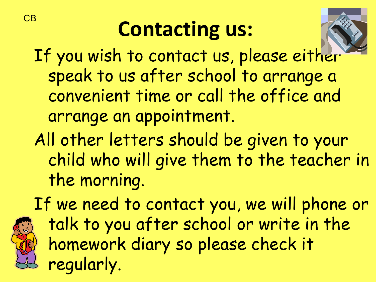## **Contacting us:**



If you wish to contact us, please either speak to us after school to arrange a convenient time or call the office and arrange an appointment.

All other letters should be given to your child who will give them to the teacher in the morning.

If we need to contact you, we will phone or talk to you after school or write in the homework diary so please check it regularly.